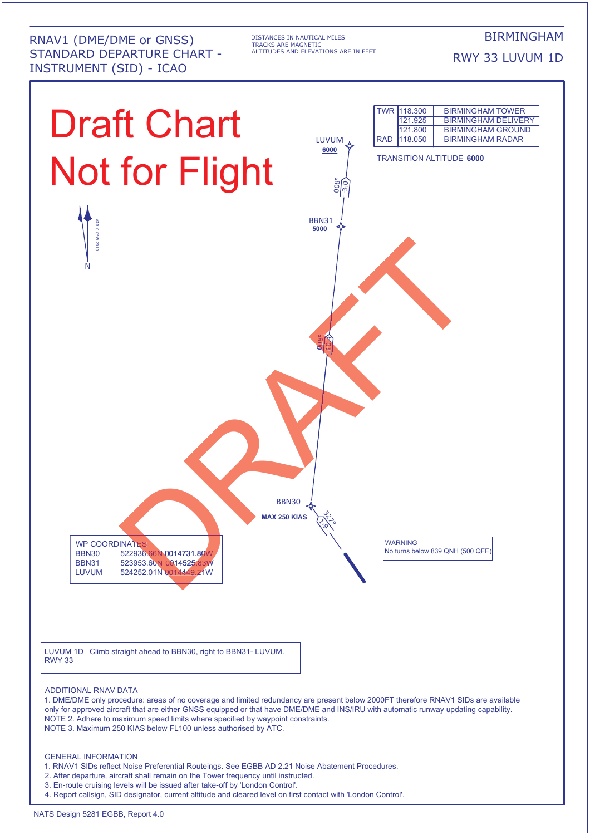RNAV1 (DME/DME or GNSS) STANDARD DEPARTURE CHART - INSTRUMENT (SID) - ICAO

DISTANCES IN NAUTICAL MILES TRACKS ARE MAGNETIC ALTITUDES AND ELEVATIONS ARE IN FEET BIRMINGHAM

RWY 33 LUVUM 1D